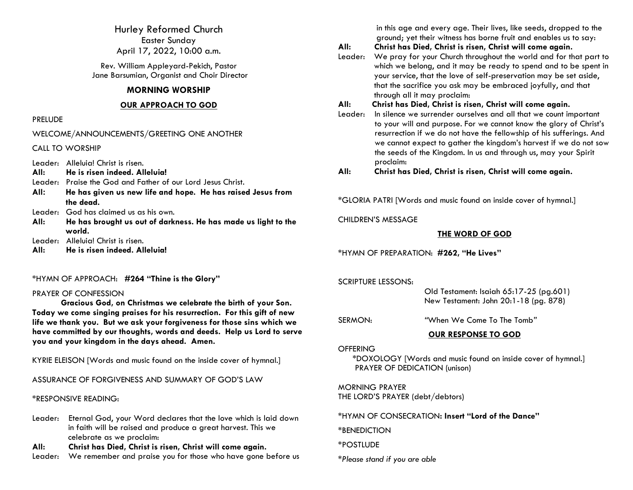Hurley Reformed Church Easter Sunday April 17, 2022, 10:00 a.m.

Rev. William Appleyard-Pekich, Pastor Jane Barsumian, Organist and Choir Director

## **MORNING WORSHIP**

## **OUR APPROACH TO GOD**

## PRELUDE

WELCOME/ANNOUNCEMENTS/GREETING ONE ANOTHER

CALL TO WORSHIP

Leader: Alleluia! Christ is risen.

- **All: He is risen indeed. Alleluia!**
- Leader:Praise the God and Father of our Lord Jesus Christ.
- **All: He has given us new life and hope. He has raised Jesus from the dead.**
- Leader:God has claimed us as his own.
- **All: He has brought us out of darkness. He has made us light to the world.**
- Leader: Alleluia! Christ is risen.
- **All: He is risen indeed. Alleluia!**

## \*HYMN OF APPROACH: **#264 "Thine is the Glory"**

## PRAYER OF CONFESSION

**Gracious God, on Christmas we celebrate the birth of your Son. Today we come singing praises for his resurrection. For this gift of new life we thank you. But we ask your forgiveness for those sins which we have committed by our thoughts, words and deeds. Help us Lord to serve you and your kingdom in the days ahead. Amen.**

KYRIE ELEISON [Words and music found on the inside cover of hymnal.]

ASSURANCE OF FORGIVENESS AND SUMMARY OF GOD'S LAW

## \*RESPONSIVE READING:

Leader: Eternal God, your Word declares that the love which is laid down in faith will be raised and produce a great harvest. This we celebrate as we proclaim:

**All: Christ has Died, Christ is risen, Christ will come again.**

Leader:We remember and praise you for those who have gone before us

in this age and every age. Their lives, like seeds, dropped to the ground; yet their witness has borne fruit and enables us to say:

## **All: Christ has Died, Christ is risen, Christ will come again.**

Leader:We pray for your Church throughout the world and for that part to which we belong, and it may be ready to spend and to be spent in your service, that the love of self-preservation may be set aside, that the sacrifice you ask may be embraced joyfully, and that through all it may proclaim:

## **All: Christ has Died, Christ is risen, Christ will come again.**

Leader: In silence we surrender ourselves and all that we count important to your will and purpose. For we cannot know the glory of Christ's resurrection if we do not have the fellowship of his sufferings. And we cannot expect to gather the kingdom's harvest if we do not sow the seeds of the Kingdom. In us and through us, may your Spirit proclaim:

**All: Christ has Died, Christ is risen, Christ will come again.**

\*GLORIA PATRI [Words and music found on inside cover of hymnal.]

CHILDREN'S MESSAGE

## **THE WORD OF GOD**

\*HYMN OF PREPARATION: **#262, "He Lives"**

## SCRIPTURE LESSONS:

 Old Testament: Isaiah 65:17-25 (pg.601) New Testament: John 20:1-18 (pg. 878)

## SERMON: *"*When We Come To The Tomb*"*

## **OUR RESPONSE TO GOD**

## **OFFERING**

\*DOXOLOGY [Words and music found on inside cover of hymnal.] PRAYER OF DEDICATION (unison)

MORNING PRAYER THE LORD'S PRAYER (debt/debtors)

\*HYMN OF CONSECRATION**: Insert "Lord of the Dance"**

\*BENEDICTION

\*POSTLUDE

*\*Please stand if you are able*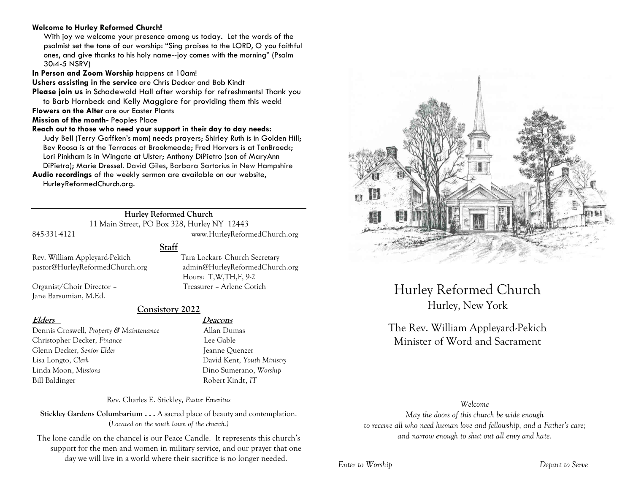## **Welcome to Hurley Reformed Church!**

With joy we welcome your presence among us today. Let the words of the psalmist set the tone of our worship: "Sing praises to the LORD, O you faithful ones, and give thanks to his holy name--joy comes with the morning" (Psalm 30:4-5 NSRV)

**In Person and Zoom Worship** happens at 10am!

**Ushers assisting in the service** are Chris Decker and Bob Kindt

**Please join us** in Schadewald Hall after worship for refreshments! Thank you to Barb Hornbeck and Kelly Maggiore for providing them this week!

**Flowers on the Alter** are our Easter Plants

**Mission of the month-** Peoples Place

#### **Reach out to those who need your support in their day to day needs:**

Judy Bell (Terry Gaffken's mom) needs prayers; Shirley Ruth is in Golden Hill; Bev Roosa is at the Terraces at Brookmeade; Fred Horvers is at TenBroeck; Lori Pinkham is in Wingate at Ulster; Anthony DiPietro (son of MaryAnn DiPietro); Marie Dressel. David Giles, Barbara Sartorius in New Hampshire

**Audio recordings** of the weekly sermon are available on our website, HurleyReformedChurch.org.

## **Hurley Reformed Church**

11 Main Street, PO Box 328, Hurley NY 12443 845-331-4121 www.HurleyReformedChurch.org

Hours: T,W,TH,F, 9-2

**Staff**

Rev. William Appleyard-Pekich Tara Lockart- Church Secretary pastor@HurleyReformedChurch.org admin@HurleyReformedChurch.org

Organist/Choir Director – Treasurer – Arlene Cotich Jane Barsumian, M.Ed.

## **Consistory 2022**

Dennis Croswell, *Property & Maintenance* Allan Dumas Christopher Decker, *Finance* Lee Gable Glenn Decker, *Senior Elder* Jeanne Ouenzer Lisa Longto, *Clerk* David Kent, *Youth Ministry* Linda Moon, *Missions* Dino Sumerano, *Worship* Bill Baldinger Robert Kindt, *IT*

## **Elders Deacons**

Rev. Charles E. Stickley, *Pastor Emeritus*

**Stickley Gardens Columbarium . . .** A sacred place of beauty and contemplation. (*Located on the south lawn of the church.)* 

The lone candle on the chancel is our Peace Candle. It represents this church's support for the men and women in military service, and our prayer that one day we will live in a world where their sacrifice is no longer needed.



Hurley Reformed Church Hurley, New York

# The Rev. William Appleyard-Pekich Minister of Word and Sacrament

## *Welcome*

*May the doors of this church be wide enough to receive all who need human love and fellowship, and a Father's care; and narrow enough to shut out all envy and hate.*

## *Enter to Worship Depart to Serve*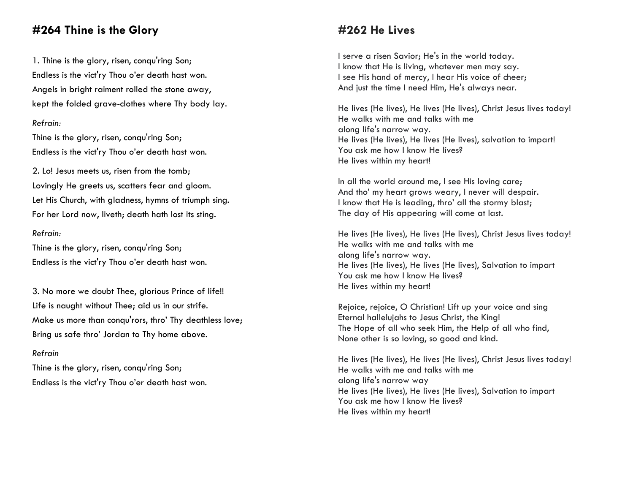# **#264 Thine is the Glory**

1. Thine is the glory, risen, conqu'ring Son; Endless is the vict'ry Thou o'er death hast won. Angels in bright raiment rolled the stone away, kept the folded grave-clothes where Thy body lay.

## *Refrain:*

Thine is the glory, risen, conqu'ring Son; Endless is the vict'ry Thou o'er death hast won.

2. Lo! Jesus meets us, risen from the tomb; Lovingly He greets us, scatters fear and gloom. Let His Church, with gladness, hymns of triumph sing. For her Lord now, liveth; death hath lost its sting.

## *Refrain:*

Thine is the glory, risen, conqu'ring Son; Endless is the vict'ry Thou o'er death hast won.

3. No more we doubt Thee, glorious Prince of life!! Life is naught without Thee; aid us in our strife. Make us more than conqu'rors, thro' Thy deathless love; Bring us safe thro' Jordan to Thy home above.

## *Refrain*

Thine is the glory, risen, conqu'ring Son; Endless is the vict'ry Thou o'er death hast won.

# **#262 He Lives**

I serve a risen Savior; He's in the world today. I know that He is living, whatever men may say. I see His hand of mercy, I hear His voice of cheer; And just the time I need Him, He's always near.

He lives (He lives), He lives (He lives), Christ Jesus lives today! He walks with me and talks with me along life's narrow way. He lives (He lives), He lives (He lives), salvation to impart! You ask me how I know He lives? He lives within my heart!

In all the world around me, I see His loving care; And tho' my heart grows weary, I never will despair. I know that He is leading, thro' all the stormy blast; The day of His appearing will come at last.

He lives (He lives), He lives (He lives), Christ Jesus lives today! He walks with me and talks with me along life's narrow way. He lives (He lives), He lives (He lives), Salvation to impart You ask me how I know He lives? He lives within my heart!

Rejoice, rejoice, O Christian! Lift up your voice and sing Eternal hallelujahs to Jesus Christ, the King! The Hope of all who seek Him, the Help of all who find, None other is so loving, so good and kind.

He lives (He lives), He lives (He lives), Christ Jesus lives today! He walks with me and talks with me along life's narrow way He lives (He lives), He lives (He lives), Salvation to impart You ask me how I know He lives? He lives within my heart!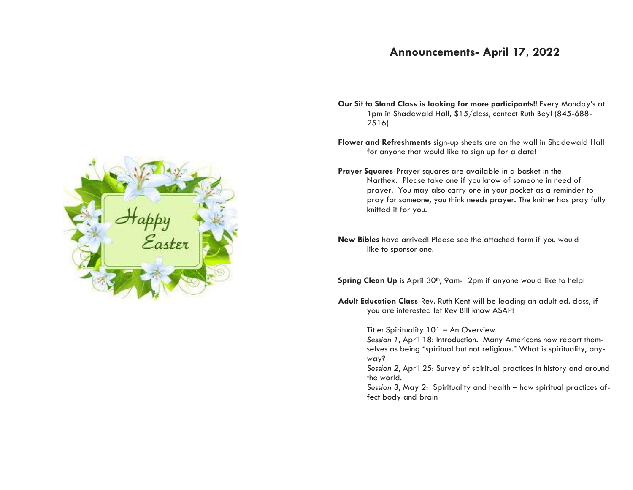# **Announcements- April 17, 2022**

- **Our Sit to Stand Class is looking for more participants!!** Every Monday's at 1pm in Shadewald Hall, \$15/class, contact Ruth Beyl (845-688- 2516)
- **Flower and Refreshments** sign-up sheets are on the wall in Shadewald Hall for anyone that would like to sign up for a date!
- **Prayer Squares**-Prayer squares are available in a basket in the Narthex. Please take one if you know of someone in need of prayer. You may also carry one in your pocket as a reminder to pray for someone, you think needs prayer. The knitter has pray fully knitted it for you.
- **New Bibles** have arrived! Please see the attached form if you would like to sponsor one.

**Spring Clean Up** is April 30<sup>th</sup>, 9am-12pm if anyone would like to help!

**Adult Education Class**-Rev. Ruth Kent will be leading an adult ed. class, if you are interested let Rev Bill know ASAP!

> Title: Spirituality 101 – An Overview *Session 1*, April 18: Introduction. Many Americans now report themselves as being "spiritual but not religious." What is spirituality, anyway?

*Session 2*, April 25: Survey of spiritual practices in history and around the world.

*Session 3*, May 2: Spirituality and health – how spiritual practices affect body and brain